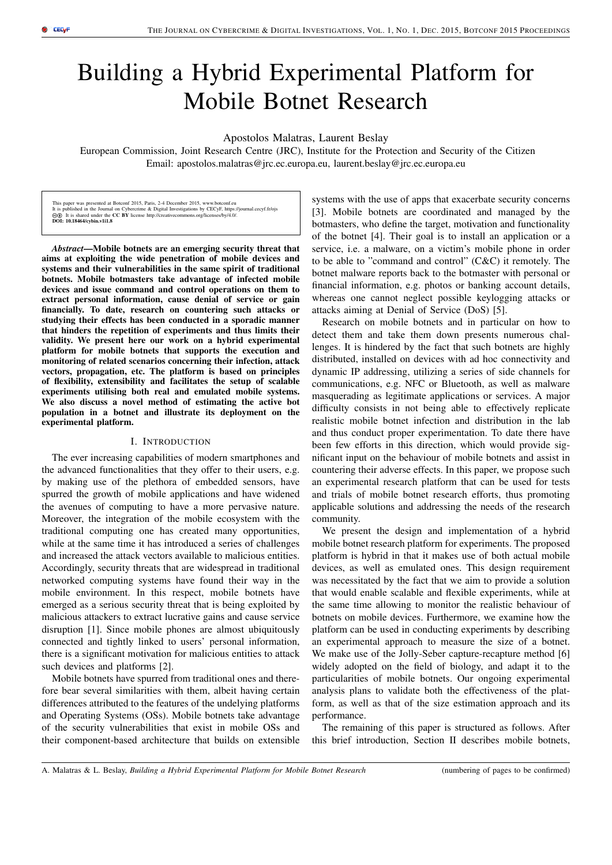# Building a Hybrid Experimental Platform for Mobile Botnet Research

Apostolos Malatras, Laurent Beslay

European Commission, Joint Research Centre (JRC), Institute for the Protection and Security of the Citizen Email: apostolos.malatras@jrc.ec.europa.eu, laurent.beslay@jrc.ec.europa.eu

This paper was presented at Botconf 2015, Paris, 2-4 December 2015, www.botconf.eu<br>It is published in the Journal on Cybercrime & Digital Investigations by CECyF, https://journal.cecyf.fr/ojs<br>**⊚ (i)** It is shared under th  $\textcircled{0}$  It is shared under the DOI: 10.18464/cybin.v1i1.8

*Abstract*—Mobile botnets are an emerging security threat that aims at exploiting the wide penetration of mobile devices and systems and their vulnerabilities in the same spirit of traditional botnets. Mobile botmasters take advantage of infected mobile devices and issue command and control operations on them to extract personal information, cause denial of service or gain financially. To date, research on countering such attacks or studying their effects has been conducted in a sporadic manner that hinders the repetition of experiments and thus limits their validity. We present here our work on a hybrid experimental platform for mobile botnets that supports the execution and monitoring of related scenarios concerning their infection, attack vectors, propagation, etc. The platform is based on principles of flexibility, extensibility and facilitates the setup of scalable experiments utilising both real and emulated mobile systems. We also discuss a novel method of estimating the active bot population in a botnet and illustrate its deployment on the experimental platform.

#### I. INTRODUCTION

The ever increasing capabilities of modern smartphones and the advanced functionalities that they offer to their users, e.g. by making use of the plethora of embedded sensors, have spurred the growth of mobile applications and have widened the avenues of computing to have a more pervasive nature. Moreover, the integration of the mobile ecosystem with the traditional computing one has created many opportunities, while at the same time it has introduced a series of challenges and increased the attack vectors available to malicious entities. Accordingly, security threats that are widespread in traditional networked computing systems have found their way in the mobile environment. In this respect, mobile botnets have emerged as a serious security threat that is being exploited by malicious attackers to extract lucrative gains and cause service disruption [1]. Since mobile phones are almost ubiquitously connected and tightly linked to users' personal information, there is a significant motivation for malicious entities to attack such devices and platforms [2].

Mobile botnets have spurred from traditional ones and therefore bear several similarities with them, albeit having certain differences attributed to the features of the undelying platforms and Operating Systems (OSs). Mobile botnets take advantage of the security vulnerabilities that exist in mobile OSs and their component-based architecture that builds on extensible systems with the use of apps that exacerbate security concerns [3]. Mobile botnets are coordinated and managed by the botmasters, who define the target, motivation and functionality of the botnet [4]. Their goal is to install an application or a service, i.e. a malware, on a victim's mobile phone in order to be able to "command and control" (C&C) it remotely. The botnet malware reports back to the botmaster with personal or financial information, e.g. photos or banking account details, whereas one cannot neglect possible keylogging attacks or attacks aiming at Denial of Service (DoS) [5].

Research on mobile botnets and in particular on how to detect them and take them down presents numerous challenges. It is hindered by the fact that such botnets are highly distributed, installed on devices with ad hoc connectivity and dynamic IP addressing, utilizing a series of side channels for communications, e.g. NFC or Bluetooth, as well as malware masquerading as legitimate applications or services. A major difficulty consists in not being able to effectively replicate realistic mobile botnet infection and distribution in the lab and thus conduct proper experimentation. To date there have been few efforts in this direction, which would provide significant input on the behaviour of mobile botnets and assist in countering their adverse effects. In this paper, we propose such an experimental research platform that can be used for tests and trials of mobile botnet research efforts, thus promoting applicable solutions and addressing the needs of the research community.

We present the design and implementation of a hybrid mobile botnet research platform for experiments. The proposed platform is hybrid in that it makes use of both actual mobile devices, as well as emulated ones. This design requirement was necessitated by the fact that we aim to provide a solution that would enable scalable and flexible experiments, while at the same time allowing to monitor the realistic behaviour of botnets on mobile devices. Furthermore, we examine how the platform can be used in conducting experiments by describing an experimental approach to measure the size of a botnet. We make use of the Jolly-Seber capture-recapture method [6] widely adopted on the field of biology, and adapt it to the particularities of mobile botnets. Our ongoing experimental analysis plans to validate both the effectiveness of the platform, as well as that of the size estimation approach and its performance.

The remaining of this paper is structured as follows. After this brief introduction, Section II describes mobile botnets,

A. Malatras & L. Beslay, *Building a Hybrid Experimental Platform for Mobile Botnet Research* (numbering of pages to be confirmed)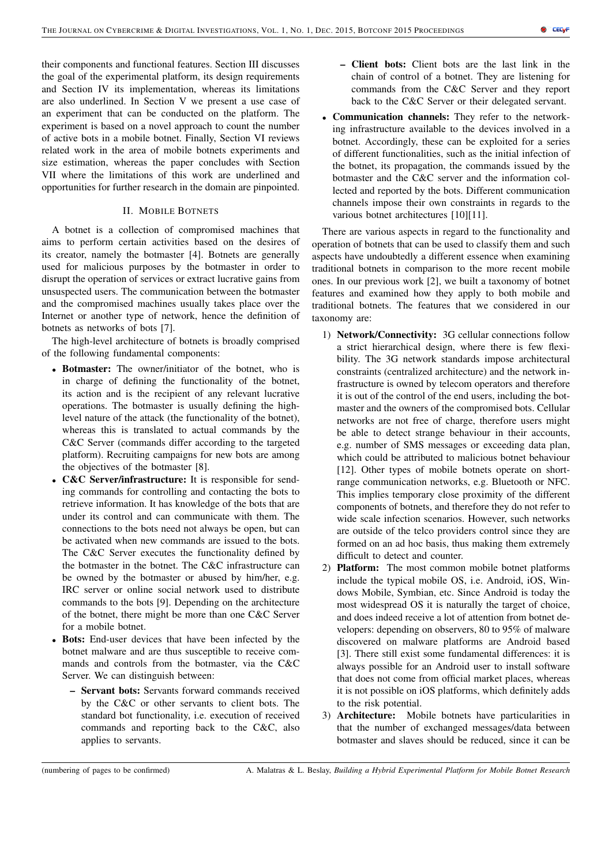their components and functional features. Section III discusses the goal of the experimental platform, its design requirements and Section IV its implementation, whereas its limitations are also underlined. In Section V we present a use case of an experiment that can be conducted on the platform. The experiment is based on a novel approach to count the number of active bots in a mobile botnet. Finally, Section VI reviews related work in the area of mobile botnets experiments and size estimation, whereas the paper concludes with Section VII where the limitations of this work are underlined and opportunities for further research in the domain are pinpointed.

## II. MOBILE BOTNETS

A botnet is a collection of compromised machines that aims to perform certain activities based on the desires of its creator, namely the botmaster [4]. Botnets are generally used for malicious purposes by the botmaster in order to disrupt the operation of services or extract lucrative gains from unsuspected users. The communication between the botmaster and the compromised machines usually takes place over the Internet or another type of network, hence the definition of botnets as networks of bots [7].

The high-level architecture of botnets is broadly comprised of the following fundamental components:

- Botmaster: The owner/initiator of the botnet, who is in charge of defining the functionality of the botnet, its action and is the recipient of any relevant lucrative operations. The botmaster is usually defining the highlevel nature of the attack (the functionality of the botnet), whereas this is translated to actual commands by the C&C Server (commands differ according to the targeted platform). Recruiting campaigns for new bots are among the objectives of the botmaster [8].
- C&C Server/infrastructure: It is responsible for sending commands for controlling and contacting the bots to retrieve information. It has knowledge of the bots that are under its control and can communicate with them. The connections to the bots need not always be open, but can be activated when new commands are issued to the bots. The C&C Server executes the functionality defined by the botmaster in the botnet. The C&C infrastructure can be owned by the botmaster or abused by him/her, e.g. IRC server or online social network used to distribute commands to the bots [9]. Depending on the architecture of the botnet, there might be more than one C&C Server for a mobile botnet.
- **Bots:** End-user devices that have been infected by the botnet malware and are thus susceptible to receive commands and controls from the botmaster, via the C&C Server. We can distinguish between:
	- Servant bots: Servants forward commands received by the C&C or other servants to client bots. The standard bot functionality, i.e. execution of received commands and reporting back to the C&C, also applies to servants.
- Client bots: Client bots are the last link in the chain of control of a botnet. They are listening for commands from the C&C Server and they report back to the C&C Server or their delegated servant.
- Communication channels: They refer to the networking infrastructure available to the devices involved in a botnet. Accordingly, these can be exploited for a series of different functionalities, such as the initial infection of the botnet, its propagation, the commands issued by the botmaster and the C&C server and the information collected and reported by the bots. Different communication channels impose their own constraints in regards to the various botnet architectures [10][11].

There are various aspects in regard to the functionality and operation of botnets that can be used to classify them and such aspects have undoubtedly a different essence when examining traditional botnets in comparison to the more recent mobile ones. In our previous work [2], we built a taxonomy of botnet features and examined how they apply to both mobile and traditional botnets. The features that we considered in our taxonomy are:

- 1) Network/Connectivity: 3G cellular connections follow a strict hierarchical design, where there is few flexibility. The 3G network standards impose architectural constraints (centralized architecture) and the network infrastructure is owned by telecom operators and therefore it is out of the control of the end users, including the botmaster and the owners of the compromised bots. Cellular networks are not free of charge, therefore users might be able to detect strange behaviour in their accounts, e.g. number of SMS messages or exceeding data plan, which could be attributed to malicious botnet behaviour [12]. Other types of mobile botnets operate on shortrange communication networks, e.g. Bluetooth or NFC. This implies temporary close proximity of the different components of botnets, and therefore they do not refer to wide scale infection scenarios. However, such networks are outside of the telco providers control since they are formed on an ad hoc basis, thus making them extremely difficult to detect and counter.
- 2) Platform: The most common mobile botnet platforms include the typical mobile OS, i.e. Android, iOS, Windows Mobile, Symbian, etc. Since Android is today the most widespread OS it is naturally the target of choice, and does indeed receive a lot of attention from botnet developers: depending on observers, 80 to 95% of malware discovered on malware platforms are Android based [3]. There still exist some fundamental differences: it is always possible for an Android user to install software that does not come from official market places, whereas it is not possible on iOS platforms, which definitely adds to the risk potential.
- 3) Architecture: Mobile botnets have particularities in that the number of exchanged messages/data between botmaster and slaves should be reduced, since it can be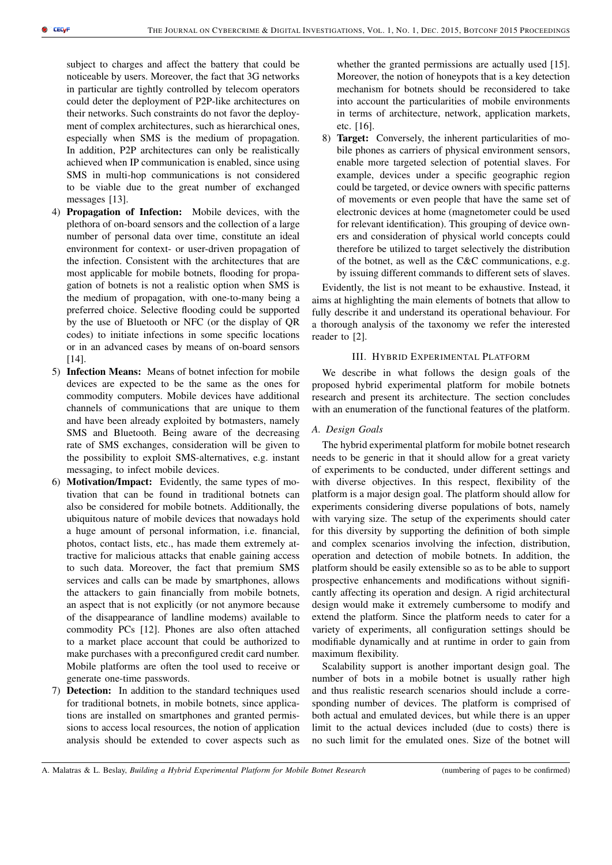subject to charges and affect the battery that could be noticeable by users. Moreover, the fact that 3G networks in particular are tightly controlled by telecom operators could deter the deployment of P2P-like architectures on their networks. Such constraints do not favor the deployment of complex architectures, such as hierarchical ones, especially when SMS is the medium of propagation. In addition, P2P architectures can only be realistically achieved when IP communication is enabled, since using SMS in multi-hop communications is not considered to be viable due to the great number of exchanged messages [13].

- 4) Propagation of Infection: Mobile devices, with the plethora of on-board sensors and the collection of a large number of personal data over time, constitute an ideal environment for context- or user-driven propagation of the infection. Consistent with the architectures that are most applicable for mobile botnets, flooding for propagation of botnets is not a realistic option when SMS is the medium of propagation, with one-to-many being a preferred choice. Selective flooding could be supported by the use of Bluetooth or NFC (or the display of QR codes) to initiate infections in some specific locations or in an advanced cases by means of on-board sensors  $[14]$ .
- 5) Infection Means: Means of botnet infection for mobile devices are expected to be the same as the ones for commodity computers. Mobile devices have additional channels of communications that are unique to them and have been already exploited by botmasters, namely SMS and Bluetooth. Being aware of the decreasing rate of SMS exchanges, consideration will be given to the possibility to exploit SMS-alternatives, e.g. instant messaging, to infect mobile devices.
- 6) Motivation/Impact: Evidently, the same types of motivation that can be found in traditional botnets can also be considered for mobile botnets. Additionally, the ubiquitous nature of mobile devices that nowadays hold a huge amount of personal information, i.e. financial, photos, contact lists, etc., has made them extremely attractive for malicious attacks that enable gaining access to such data. Moreover, the fact that premium SMS services and calls can be made by smartphones, allows the attackers to gain financially from mobile botnets, an aspect that is not explicitly (or not anymore because of the disappearance of landline modems) available to commodity PCs [12]. Phones are also often attached to a market place account that could be authorized to make purchases with a preconfigured credit card number. Mobile platforms are often the tool used to receive or generate one-time passwords.
- 7) Detection: In addition to the standard techniques used for traditional botnets, in mobile botnets, since applications are installed on smartphones and granted permissions to access local resources, the notion of application analysis should be extended to cover aspects such as

whether the granted permissions are actually used [15]. Moreover, the notion of honeypots that is a key detection mechanism for botnets should be reconsidered to take into account the particularities of mobile environments in terms of architecture, network, application markets, etc. [16].

8) Target: Conversely, the inherent particularities of mobile phones as carriers of physical environment sensors, enable more targeted selection of potential slaves. For example, devices under a specific geographic region could be targeted, or device owners with specific patterns of movements or even people that have the same set of electronic devices at home (magnetometer could be used for relevant identification). This grouping of device owners and consideration of physical world concepts could therefore be utilized to target selectively the distribution of the botnet, as well as the C&C communications, e.g. by issuing different commands to different sets of slaves.

Evidently, the list is not meant to be exhaustive. Instead, it aims at highlighting the main elements of botnets that allow to fully describe it and understand its operational behaviour. For a thorough analysis of the taxonomy we refer the interested reader to [2].

## III. HYBRID EXPERIMENTAL PLATFORM

We describe in what follows the design goals of the proposed hybrid experimental platform for mobile botnets research and present its architecture. The section concludes with an enumeration of the functional features of the platform.

#### *A. Design Goals*

The hybrid experimental platform for mobile botnet research needs to be generic in that it should allow for a great variety of experiments to be conducted, under different settings and with diverse objectives. In this respect, flexibility of the platform is a major design goal. The platform should allow for experiments considering diverse populations of bots, namely with varying size. The setup of the experiments should cater for this diversity by supporting the definition of both simple and complex scenarios involving the infection, distribution, operation and detection of mobile botnets. In addition, the platform should be easily extensible so as to be able to support prospective enhancements and modifications without significantly affecting its operation and design. A rigid architectural design would make it extremely cumbersome to modify and extend the platform. Since the platform needs to cater for a variety of experiments, all configuration settings should be modifiable dynamically and at runtime in order to gain from maximum flexibility.

Scalability support is another important design goal. The number of bots in a mobile botnet is usually rather high and thus realistic research scenarios should include a corresponding number of devices. The platform is comprised of both actual and emulated devices, but while there is an upper limit to the actual devices included (due to costs) there is no such limit for the emulated ones. Size of the botnet will

A. Malatras & L. Beslay, *Building a Hybrid Experimental Platform for Mobile Botnet Research* (numbering of pages to be confirmed)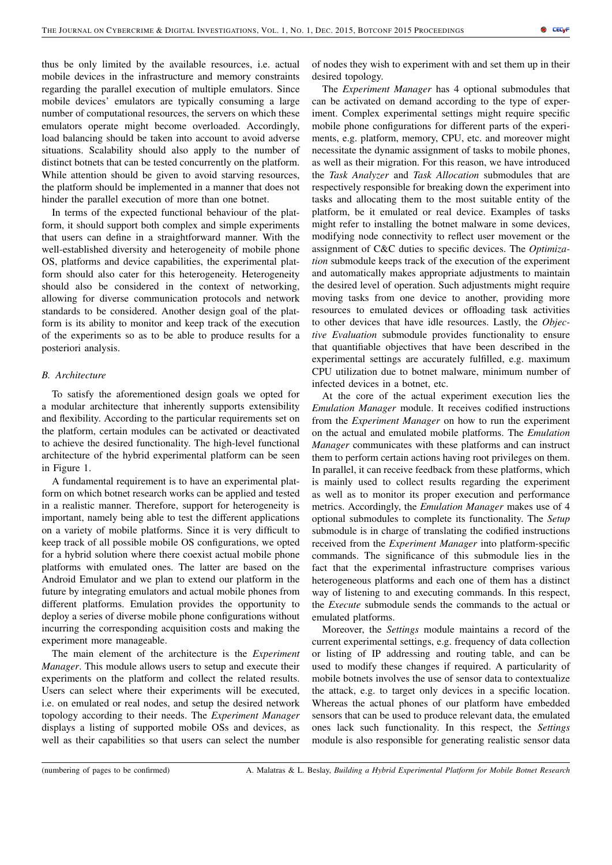thus be only limited by the available resources, i.e. actual mobile devices in the infrastructure and memory constraints regarding the parallel execution of multiple emulators. Since mobile devices' emulators are typically consuming a large number of computational resources, the servers on which these emulators operate might become overloaded. Accordingly, load balancing should be taken into account to avoid adverse situations. Scalability should also apply to the number of distinct botnets that can be tested concurrently on the platform. While attention should be given to avoid starving resources, the platform should be implemented in a manner that does not hinder the parallel execution of more than one botnet.

In terms of the expected functional behaviour of the platform, it should support both complex and simple experiments that users can define in a straightforward manner. With the well-established diversity and heterogeneity of mobile phone OS, platforms and device capabilities, the experimental platform should also cater for this heterogeneity. Heterogeneity should also be considered in the context of networking, allowing for diverse communication protocols and network standards to be considered. Another design goal of the platform is its ability to monitor and keep track of the execution of the experiments so as to be able to produce results for a posteriori analysis.

## *B. Architecture*

To satisfy the aforementioned design goals we opted for a modular architecture that inherently supports extensibility and flexibility. According to the particular requirements set on the platform, certain modules can be activated or deactivated to achieve the desired functionality. The high-level functional architecture of the hybrid experimental platform can be seen in Figure 1.

A fundamental requirement is to have an experimental platform on which botnet research works can be applied and tested in a realistic manner. Therefore, support for heterogeneity is important, namely being able to test the different applications on a variety of mobile platforms. Since it is very difficult to keep track of all possible mobile OS configurations, we opted for a hybrid solution where there coexist actual mobile phone platforms with emulated ones. The latter are based on the Android Emulator and we plan to extend our platform in the future by integrating emulators and actual mobile phones from different platforms. Emulation provides the opportunity to deploy a series of diverse mobile phone configurations without incurring the corresponding acquisition costs and making the experiment more manageable.

The main element of the architecture is the *Experiment Manager*. This module allows users to setup and execute their experiments on the platform and collect the related results. Users can select where their experiments will be executed, i.e. on emulated or real nodes, and setup the desired network topology according to their needs. The *Experiment Manager* displays a listing of supported mobile OSs and devices, as well as their capabilities so that users can select the number

of nodes they wish to experiment with and set them up in their desired topology.

The *Experiment Manager* has 4 optional submodules that can be activated on demand according to the type of experiment. Complex experimental settings might require specific mobile phone configurations for different parts of the experiments, e.g. platform, memory, CPU, etc. and moreover might necessitate the dynamic assignment of tasks to mobile phones, as well as their migration. For this reason, we have introduced the *Task Analyzer* and *Task Allocation* submodules that are respectively responsible for breaking down the experiment into tasks and allocating them to the most suitable entity of the platform, be it emulated or real device. Examples of tasks might refer to installing the botnet malware in some devices, modifying node connectivity to reflect user movement or the assignment of C&C duties to specific devices. The *Optimization* submodule keeps track of the execution of the experiment and automatically makes appropriate adjustments to maintain the desired level of operation. Such adjustments might require moving tasks from one device to another, providing more resources to emulated devices or offloading task activities to other devices that have idle resources. Lastly, the *Objective Evaluation* submodule provides functionality to ensure that quantifiable objectives that have been described in the experimental settings are accurately fulfilled, e.g. maximum CPU utilization due to botnet malware, minimum number of infected devices in a botnet, etc.

At the core of the actual experiment execution lies the *Emulation Manager* module. It receives codified instructions from the *Experiment Manager* on how to run the experiment on the actual and emulated mobile platforms. The *Emulation Manager* communicates with these platforms and can instruct them to perform certain actions having root privileges on them. In parallel, it can receive feedback from these platforms, which is mainly used to collect results regarding the experiment as well as to monitor its proper execution and performance metrics. Accordingly, the *Emulation Manager* makes use of 4 optional submodules to complete its functionality. The *Setup* submodule is in charge of translating the codified instructions received from the *Experiment Manager* into platform-specific commands. The significance of this submodule lies in the fact that the experimental infrastructure comprises various heterogeneous platforms and each one of them has a distinct way of listening to and executing commands. In this respect, the *Execute* submodule sends the commands to the actual or emulated platforms.

Moreover, the *Settings* module maintains a record of the current experimental settings, e.g. frequency of data collection or listing of IP addressing and routing table, and can be used to modify these changes if required. A particularity of mobile botnets involves the use of sensor data to contextualize the attack, e.g. to target only devices in a specific location. Whereas the actual phones of our platform have embedded sensors that can be used to produce relevant data, the emulated ones lack such functionality. In this respect, the *Settings* module is also responsible for generating realistic sensor data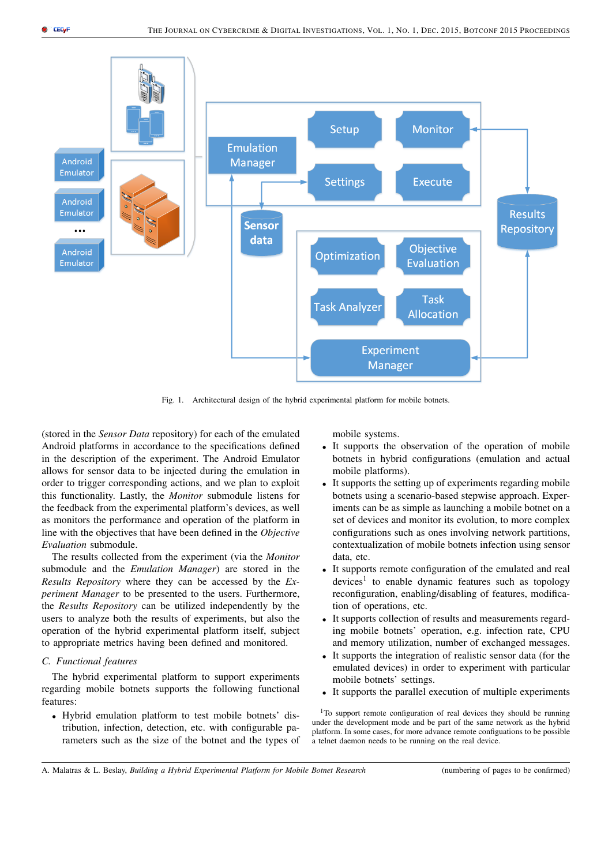

Fig. 1. Architectural design of the hybrid experimental platform for mobile botnets.

(stored in the *Sensor Data* repository) for each of the emulated Android platforms in accordance to the specifications defined in the description of the experiment. The Android Emulator allows for sensor data to be injected during the emulation in order to trigger corresponding actions, and we plan to exploit this functionality. Lastly, the *Monitor* submodule listens for the feedback from the experimental platform's devices, as well as monitors the performance and operation of the platform in line with the objectives that have been defined in the *Objective Evaluation* submodule.

The results collected from the experiment (via the *Monitor* submodule and the *Emulation Manager*) are stored in the *Results Repository* where they can be accessed by the *Experiment Manager* to be presented to the users. Furthermore, the *Results Repository* can be utilized independently by the users to analyze both the results of experiments, but also the operation of the hybrid experimental platform itself, subject to appropriate metrics having been defined and monitored.

#### *C. Functional features*

The hybrid experimental platform to support experiments regarding mobile botnets supports the following functional features:

• Hybrid emulation platform to test mobile botnets' distribution, infection, detection, etc. with configurable parameters such as the size of the botnet and the types of mobile systems.

- It supports the observation of the operation of mobile botnets in hybrid configurations (emulation and actual mobile platforms).
- It supports the setting up of experiments regarding mobile botnets using a scenario-based stepwise approach. Experiments can be as simple as launching a mobile botnet on a set of devices and monitor its evolution, to more complex configurations such as ones involving network partitions, contextualization of mobile botnets infection using sensor data, etc.
- It supports remote configuration of the emulated and real devices<sup>1</sup> to enable dynamic features such as topology reconfiguration, enabling/disabling of features, modification of operations, etc.
- It supports collection of results and measurements regarding mobile botnets' operation, e.g. infection rate, CPU and memory utilization, number of exchanged messages.
- It supports the integration of realistic sensor data (for the emulated devices) in order to experiment with particular mobile botnets' settings.
- It supports the parallel execution of multiple experiments

<sup>1</sup>To support remote configuration of real devices they should be running under the development mode and be part of the same network as the hybrid platform. In some cases, for more advance remote configuations to be possible a telnet daemon needs to be running on the real device.

A. Malatras & L. Beslay, *Building a Hybrid Experimental Platform for Mobile Botnet Research* (numbering of pages to be confirmed)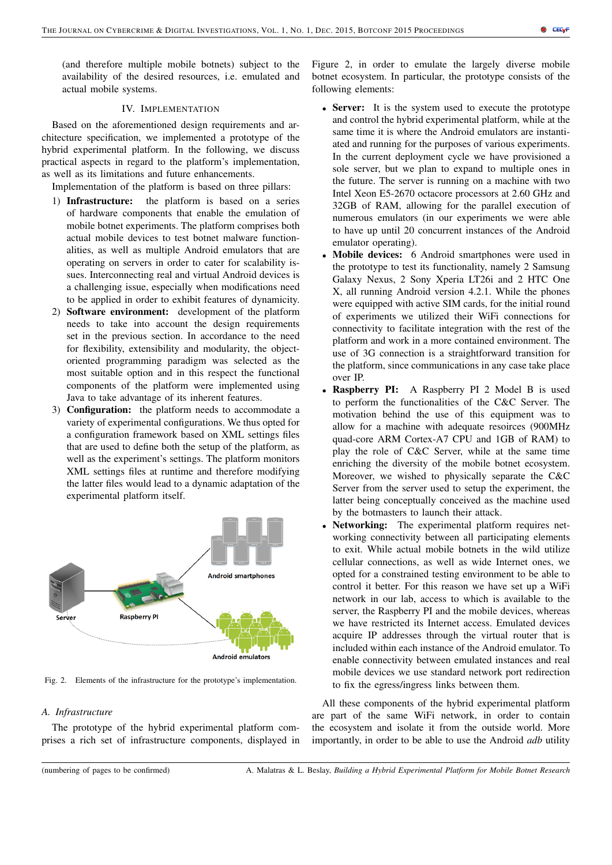(and therefore multiple mobile botnets) subject to the availability of the desired resources, i.e. emulated and actual mobile systems.

#### IV. IMPLEMENTATION

Based on the aforementioned design requirements and architecture specification, we implemented a prototype of the hybrid experimental platform. In the following, we discuss practical aspects in regard to the platform's implementation, as well as its limitations and future enhancements.

Implementation of the platform is based on three pillars:

- 1) Infrastructure: the platform is based on a series of hardware components that enable the emulation of mobile botnet experiments. The platform comprises both actual mobile devices to test botnet malware functionalities, as well as multiple Android emulators that are operating on servers in order to cater for scalability issues. Interconnecting real and virtual Android devices is a challenging issue, especially when modifications need to be applied in order to exhibit features of dynamicity.
- 2) Software environment: development of the platform needs to take into account the design requirements set in the previous section. In accordance to the need for flexibility, extensibility and modularity, the objectoriented programming paradigm was selected as the most suitable option and in this respect the functional components of the platform were implemented using Java to take advantage of its inherent features.
- 3) Configuration: the platform needs to accommodate a variety of experimental configurations. We thus opted for a configuration framework based on XML settings files that are used to define both the setup of the platform, as well as the experiment's settings. The platform monitors XML settings files at runtime and therefore modifying the latter files would lead to a dynamic adaptation of the experimental platform itself.



Fig. 2. Elements of the infrastructure for the prototype's implementation.

# *A. Infrastructure*

The prototype of the hybrid experimental platform comprises a rich set of infrastructure components, displayed in Figure 2, in order to emulate the largely diverse mobile botnet ecosystem. In particular, the prototype consists of the following elements:

- Server: It is the system used to execute the prototype and control the hybrid experimental platform, while at the same time it is where the Android emulators are instantiated and running for the purposes of various experiments. In the current deployment cycle we have provisioned a sole server, but we plan to expand to multiple ones in the future. The server is running on a machine with two Intel Xeon E5-2670 octacore processors at 2.60 GHz and 32GB of RAM, allowing for the parallel execution of numerous emulators (in our experiments we were able to have up until 20 concurrent instances of the Android emulator operating).
- Mobile devices: 6 Android smartphones were used in the prototype to test its functionality, namely 2 Samsung Galaxy Nexus, 2 Sony Xperia LT26i and 2 HTC One X, all running Android version 4.2.1. While the phones were equipped with active SIM cards, for the initial round of experiments we utilized their WiFi connections for connectivity to facilitate integration with the rest of the platform and work in a more contained environment. The use of 3G connection is a straightforward transition for the platform, since communications in any case take place over IP.
- Raspberry PI: A Raspberry PI 2 Model B is used to perform the functionalities of the C&C Server. The motivation behind the use of this equipment was to allow for a machine with adequate resoirces (900MHz quad-core ARM Cortex-A7 CPU and 1GB of RAM) to play the role of C&C Server, while at the same time enriching the diversity of the mobile botnet ecosystem. Moreover, we wished to physically separate the C&C Server from the server used to setup the experiment, the latter being conceptually conceived as the machine used by the botmasters to launch their attack.
- Networking: The experimental platform requires networking connectivity between all participating elements to exit. While actual mobile botnets in the wild utilize cellular connections, as well as wide Internet ones, we opted for a constrained testing environment to be able to control it better. For this reason we have set up a WiFi network in our lab, access to which is available to the server, the Raspberry PI and the mobile devices, whereas we have restricted its Internet access. Emulated devices acquire IP addresses through the virtual router that is included within each instance of the Android emulator. To enable connectivity between emulated instances and real mobile devices we use standard network port redirection to fix the egress/ingress links between them.

All these components of the hybrid experimental platform are part of the same WiFi network, in order to contain the ecosystem and isolate it from the outside world. More importantly, in order to be able to use the Android *adb* utility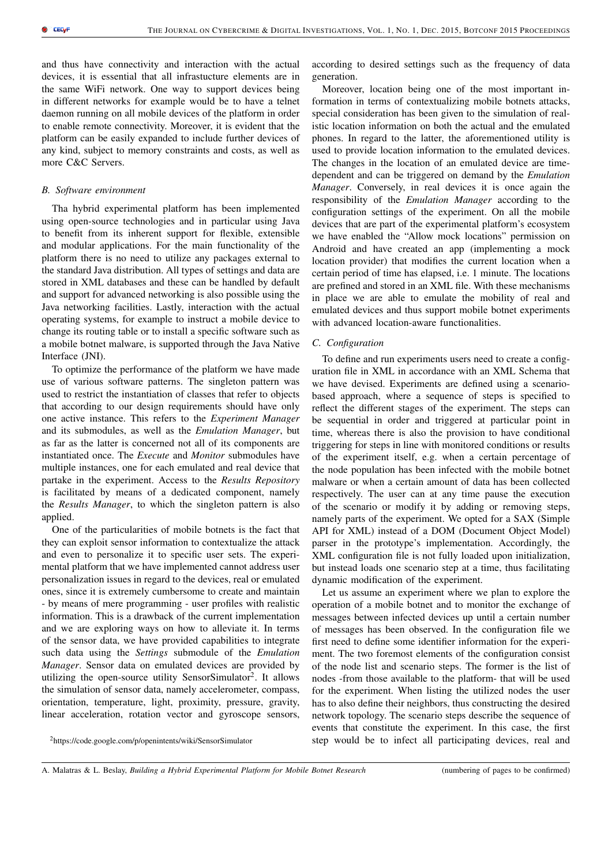and thus have connectivity and interaction with the actual devices, it is essential that all infrastucture elements are in the same WiFi network. One way to support devices being in different networks for example would be to have a telnet daemon running on all mobile devices of the platform in order to enable remote connectivity. Moreover, it is evident that the platform can be easily expanded to include further devices of any kind, subject to memory constraints and costs, as well as more C&C Servers.

#### *B. Software environment*

Tha hybrid experimental platform has been implemented using open-source technologies and in particular using Java to benefit from its inherent support for flexible, extensible and modular applications. For the main functionality of the platform there is no need to utilize any packages external to the standard Java distribution. All types of settings and data are stored in XML databases and these can be handled by default and support for advanced networking is also possible using the Java networking facilities. Lastly, interaction with the actual operating systems, for example to instruct a mobile device to change its routing table or to install a specific software such as a mobile botnet malware, is supported through the Java Native Interface (JNI).

To optimize the performance of the platform we have made use of various software patterns. The singleton pattern was used to restrict the instantiation of classes that refer to objects that according to our design requirements should have only one active instance. This refers to the *Experiment Manager* and its submodules, as well as the *Emulation Manager*, but as far as the latter is concerned not all of its components are instantiated once. The *Execute* and *Monitor* submodules have multiple instances, one for each emulated and real device that partake in the experiment. Access to the *Results Repository* is facilitated by means of a dedicated component, namely the *Results Manager*, to which the singleton pattern is also applied.

One of the particularities of mobile botnets is the fact that they can exploit sensor information to contextualize the attack and even to personalize it to specific user sets. The experimental platform that we have implemented cannot address user personalization issues in regard to the devices, real or emulated ones, since it is extremely cumbersome to create and maintain - by means of mere programming - user profiles with realistic information. This is a drawback of the current implementation and we are exploring ways on how to alleviate it. In terms of the sensor data, we have provided capabilities to integrate such data using the *Settings* submodule of the *Emulation Manager*. Sensor data on emulated devices are provided by utilizing the open-source utility SensorSimulator<sup>2</sup>. It allows the simulation of sensor data, namely accelerometer, compass, orientation, temperature, light, proximity, pressure, gravity, linear acceleration, rotation vector and gyroscope sensors,

according to desired settings such as the frequency of data generation.

Moreover, location being one of the most important information in terms of contextualizing mobile botnets attacks, special consideration has been given to the simulation of realistic location information on both the actual and the emulated phones. In regard to the latter, the aforementioned utility is used to provide location information to the emulated devices. The changes in the location of an emulated device are timedependent and can be triggered on demand by the *Emulation Manager*. Conversely, in real devices it is once again the responsibility of the *Emulation Manager* according to the configuration settings of the experiment. On all the mobile devices that are part of the experimental platform's ecosystem we have enabled the "Allow mock locations" permission on Android and have created an app (implementing a mock location provider) that modifies the current location when a certain period of time has elapsed, i.e. 1 minute. The locations are prefined and stored in an XML file. With these mechanisms in place we are able to emulate the mobility of real and emulated devices and thus support mobile botnet experiments with advanced location-aware functionalities.

#### *C. Configuration*

To define and run experiments users need to create a configuration file in XML in accordance with an XML Schema that we have devised. Experiments are defined using a scenariobased approach, where a sequence of steps is specified to reflect the different stages of the experiment. The steps can be sequential in order and triggered at particular point in time, whereas there is also the provision to have conditional triggering for steps in line with monitored conditions or results of the experiment itself, e.g. when a certain percentage of the node population has been infected with the mobile botnet malware or when a certain amount of data has been collected respectively. The user can at any time pause the execution of the scenario or modify it by adding or removing steps, namely parts of the experiment. We opted for a SAX (Simple API for XML) instead of a DOM (Document Object Model) parser in the prototype's implementation. Accordingly, the XML configuration file is not fully loaded upon initialization, but instead loads one scenario step at a time, thus facilitating dynamic modification of the experiment.

Let us assume an experiment where we plan to explore the operation of a mobile botnet and to monitor the exchange of messages between infected devices up until a certain number of messages has been observed. In the configuration file we first need to define some identifier information for the experiment. The two foremost elements of the configuration consist of the node list and scenario steps. The former is the list of nodes -from those available to the platform- that will be used for the experiment. When listing the utilized nodes the user has to also define their neighbors, thus constructing the desired network topology. The scenario steps describe the sequence of events that constitute the experiment. In this case, the first step would be to infect all participating devices, real and

<sup>2</sup>https://code.google.com/p/openintents/wiki/SensorSimulator

A. Malatras & L. Beslay, *Building a Hybrid Experimental Platform for Mobile Botnet Research* (numbering of pages to be confirmed)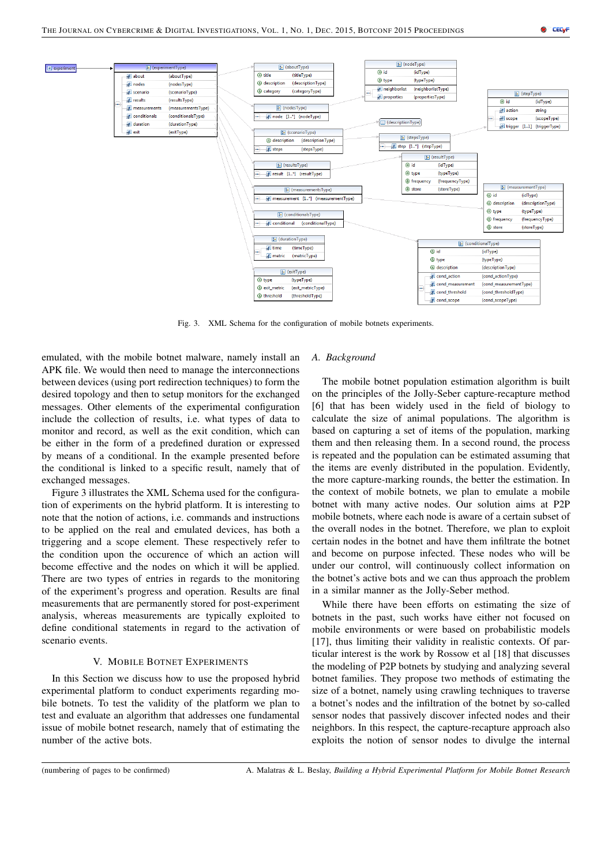

Fig. 3. XML Schema for the configuration of mobile botnets experiments.

emulated, with the mobile botnet malware, namely install an APK file. We would then need to manage the interconnections between devices (using port redirection techniques) to form the desired topology and then to setup monitors for the exchanged messages. Other elements of the experimental configuration include the collection of results, i.e. what types of data to monitor and record, as well as the exit condition, which can be either in the form of a predefined duration or expressed by means of a conditional. In the example presented before the conditional is linked to a specific result, namely that of exchanged messages.

Figure 3 illustrates the XML Schema used for the configuration of experiments on the hybrid platform. It is interesting to note that the notion of actions, i.e. commands and instructions to be applied on the real and emulated devices, has both a triggering and a scope element. These respectively refer to the condition upon the occurence of which an action will become effective and the nodes on which it will be applied. There are two types of entries in regards to the monitoring of the experiment's progress and operation. Results are final measurements that are permanently stored for post-experiment analysis, whereas measurements are typically exploited to define conditional statements in regard to the activation of scenario events.

#### V. MOBILE BOTNET EXPERIMENTS

In this Section we discuss how to use the proposed hybrid experimental platform to conduct experiments regarding mobile botnets. To test the validity of the platform we plan to test and evaluate an algorithm that addresses one fundamental issue of mobile botnet research, namely that of estimating the number of the active bots.

#### *A. Background*

The mobile botnet population estimation algorithm is built on the principles of the Jolly-Seber capture-recapture method [6] that has been widely used in the field of biology to calculate the size of animal populations. The algorithm is based on capturing a set of items of the population, marking them and then releasing them. In a second round, the process is repeated and the population can be estimated assuming that the items are evenly distributed in the population. Evidently, the more capture-marking rounds, the better the estimation. In the context of mobile botnets, we plan to emulate a mobile botnet with many active nodes. Our solution aims at P2P mobile botnets, where each node is aware of a certain subset of the overall nodes in the botnet. Therefore, we plan to exploit certain nodes in the botnet and have them infiltrate the botnet and become on purpose infected. These nodes who will be under our control, will continuously collect information on the botnet's active bots and we can thus approach the problem in a similar manner as the Jolly-Seber method.

While there have been efforts on estimating the size of botnets in the past, such works have either not focused on mobile environments or were based on probabilistic models [17], thus limiting their validity in realistic contexts. Of particular interest is the work by Rossow et al [18] that discusses the modeling of P2P botnets by studying and analyzing several botnet families. They propose two methods of estimating the size of a botnet, namely using crawling techniques to traverse a botnet's nodes and the infiltration of the botnet by so-called sensor nodes that passively discover infected nodes and their neighbors. In this respect, the capture-recapture approach also exploits the notion of sensor nodes to divulge the internal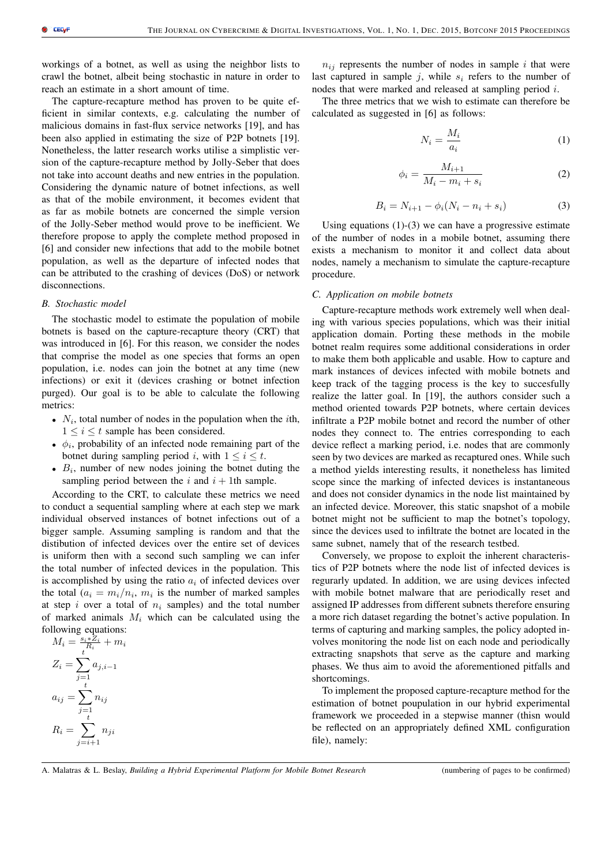workings of a botnet, as well as using the neighbor lists to crawl the botnet, albeit being stochastic in nature in order to reach an estimate in a short amount of time.

The capture-recapture method has proven to be quite efficient in similar contexts, e.g. calculating the number of malicious domains in fast-flux service networks [19], and has been also applied in estimating the size of P2P botnets [19]. Nonetheless, the latter research works utilise a simplistic version of the capture-recapture method by Jolly-Seber that does not take into account deaths and new entries in the population. Considering the dynamic nature of botnet infections, as well as that of the mobile environment, it becomes evident that as far as mobile botnets are concerned the simple version of the Jolly-Seber method would prove to be inefficient. We therefore propose to apply the complete method proposed in [6] and consider new infections that add to the mobile botnet population, as well as the departure of infected nodes that can be attributed to the crashing of devices (DoS) or network disconnections.

#### *B. Stochastic model*

The stochastic model to estimate the population of mobile botnets is based on the capture-recapture theory (CRT) that was introduced in [6]. For this reason, we consider the nodes that comprise the model as one species that forms an open population, i.e. nodes can join the botnet at any time (new infections) or exit it (devices crashing or botnet infection purged). Our goal is to be able to calculate the following metrics:

- $N_i$ , total number of nodes in the population when the *i*th,  $1 \leq i \leq t$  sample has been considered.
- $\phi_i$ , probability of an infected node remaining part of the botnet during sampling period i, with  $1 \le i \le t$ .
- $\bullet$   $B_i$ , number of new nodes joining the botnet duting the sampling period between the i and  $i + 1$ th sample.

According to the CRT, to calculate these metrics we need to conduct a sequential sampling where at each step we mark individual observed instances of botnet infections out of a bigger sample. Assuming sampling is random and that the distibution of infected devices over the entire set of devices is uniform then with a second such sampling we can infer the total number of infected devices in the population. This is accomplished by using the ratio  $a_i$  of infected devices over the total  $(a_i = m_i/n_i, m_i)$  is the number of marked samples at step i over a total of  $n_i$  samples) and the total number of marked animals  $M_i$  which can be calculated using the following equations:

$$
M_i = \frac{s_i * Z_i}{R_i} + m_i
$$
  
\n
$$
Z_i = \sum_{j=1}^t a_{j,i-1}
$$
  
\n
$$
a_{ij} = \sum_{j=1}^t n_{ij}
$$
  
\n
$$
R_i = \sum_{j=i+1}^t n_{ji}
$$

 $n_{ij}$  represents the number of nodes in sample i that were last captured in sample j, while  $s_i$  refers to the number of nodes that were marked and released at sampling period i.

The three metrics that we wish to estimate can therefore be calculated as suggested in [6] as follows:

$$
N_i = \frac{M_i}{a_i} \tag{1}
$$

$$
\phi_i = \frac{M_{i+1}}{M_i - m_i + s_i} \tag{2}
$$

$$
B_i = N_{i+1} - \phi_i (N_i - n_i + s_i)
$$
 (3)

Using equations  $(1)-(3)$  we can have a progressive estimate of the number of nodes in a mobile botnet, assuming there exists a mechanism to monitor it and collect data about nodes, namely a mechanism to simulate the capture-recapture procedure.

## *C. Application on mobile botnets*

Capture-recapture methods work extremely well when dealing with various species populations, which was their initial application domain. Porting these methods in the mobile botnet realm requires some additional considerations in order to make them both applicable and usable. How to capture and mark instances of devices infected with mobile botnets and keep track of the tagging process is the key to succesfully realize the latter goal. In [19], the authors consider such a method oriented towards P2P botnets, where certain devices infiltrate a P2P mobile botnet and record the number of other nodes they connect to. The entries corresponding to each device reflect a marking period, i.e. nodes that are commonly seen by two devices are marked as recaptured ones. While such a method yields interesting results, it nonetheless has limited scope since the marking of infected devices is instantaneous and does not consider dynamics in the node list maintained by an infected device. Moreover, this static snapshot of a mobile botnet might not be sufficient to map the botnet's topology, since the devices used to infiltrate the botnet are located in the same subnet, namely that of the research testbed.

Conversely, we propose to exploit the inherent characteristics of P2P botnets where the node list of infected devices is regurarly updated. In addition, we are using devices infected with mobile botnet malware that are periodically reset and assigned IP addresses from different subnets therefore ensuring a more rich dataset regarding the botnet's active population. In terms of capturing and marking samples, the policy adopted involves monitoring the node list on each node and periodically extracting snapshots that serve as the capture and marking phases. We thus aim to avoid the aforementioned pitfalls and shortcomings.

To implement the proposed capture-recapture method for the estimation of botnet poupulation in our hybrid experimental framework we proceeded in a stepwise manner (thisn would be reflected on an appropriately defined XML configuration file), namely:

A. Malatras & L. Beslay, *Building a Hybrid Experimental Platform for Mobile Botnet Research* (numbering of pages to be confirmed)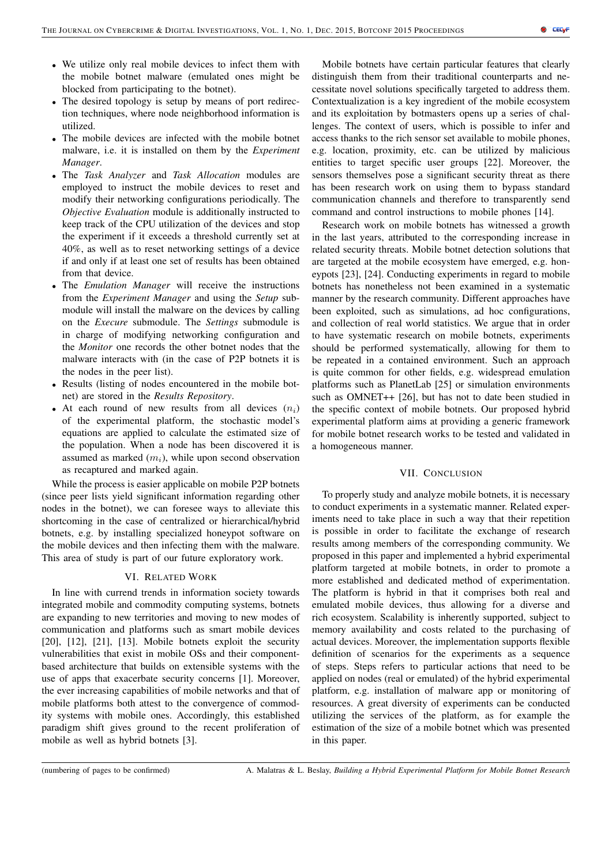- We utilize only real mobile devices to infect them with the mobile botnet malware (emulated ones might be blocked from participating to the botnet).
- The desired topology is setup by means of port redirection techniques, where node neighborhood information is utilized.
- The mobile devices are infected with the mobile botnet malware, i.e. it is installed on them by the *Experiment Manager*.
- The *Task Analyzer* and *Task Allocation* modules are employed to instruct the mobile devices to reset and modify their networking configurations periodically. The *Objective Evaluation* module is additionally instructed to keep track of the CPU utilization of the devices and stop the experiment if it exceeds a threshold currently set at 40%, as well as to reset networking settings of a device if and only if at least one set of results has been obtained from that device.
- The *Emulation Manager* will receive the instructions from the *Experiment Manager* and using the *Setup* submodule will install the malware on the devices by calling on the *Execure* submodule. The *Settings* submodule is in charge of modifying networking configuration and the *Monitor* one records the other botnet nodes that the malware interacts with (in the case of P2P botnets it is the nodes in the peer list).
- Results (listing of nodes encountered in the mobile botnet) are stored in the *Results Repository*.
- At each round of new results from all devices  $(n_i)$ of the experimental platform, the stochastic model's equations are applied to calculate the estimated size of the population. When a node has been discovered it is assumed as marked  $(m_i)$ , while upon second observation as recaptured and marked again.

While the process is easier applicable on mobile P2P botnets (since peer lists yield significant information regarding other nodes in the botnet), we can foresee ways to alleviate this shortcoming in the case of centralized or hierarchical/hybrid botnets, e.g. by installing specialized honeypot software on the mobile devices and then infecting them with the malware. This area of study is part of our future exploratory work.

# VI. RELATED WORK

In line with currend trends in information society towards integrated mobile and commodity computing systems, botnets are expanding to new territories and moving to new modes of communication and platforms such as smart mobile devices [20], [12], [21], [13]. Mobile botnets exploit the security vulnerabilities that exist in mobile OSs and their componentbased architecture that builds on extensible systems with the use of apps that exacerbate security concerns [1]. Moreover, the ever increasing capabilities of mobile networks and that of mobile platforms both attest to the convergence of commodity systems with mobile ones. Accordingly, this established paradigm shift gives ground to the recent proliferation of mobile as well as hybrid botnets [3].

Mobile botnets have certain particular features that clearly distinguish them from their traditional counterparts and necessitate novel solutions specifically targeted to address them. Contextualization is a key ingredient of the mobile ecosystem and its exploitation by botmasters opens up a series of challenges. The context of users, which is possible to infer and access thanks to the rich sensor set available to mobile phones, e.g. location, proximity, etc. can be utilized by malicious entities to target specific user groups [22]. Moreover, the sensors themselves pose a significant security threat as there has been research work on using them to bypass standard communication channels and therefore to transparently send command and control instructions to mobile phones [14].

Research work on mobile botnets has witnessed a growth in the last years, attributed to the corresponding increase in related security threats. Mobile botnet detection solutions that are targeted at the mobile ecosystem have emerged, e.g. honeypots [23], [24]. Conducting experiments in regard to mobile botnets has nonetheless not been examined in a systematic manner by the research community. Different approaches have been exploited, such as simulations, ad hoc configurations, and collection of real world statistics. We argue that in order to have systematic research on mobile botnets, experiments should be performed systematically, allowing for them to be repeated in a contained environment. Such an approach is quite common for other fields, e.g. widespread emulation platforms such as PlanetLab [25] or simulation environments such as OMNET++ [26], but has not to date been studied in the specific context of mobile botnets. Our proposed hybrid experimental platform aims at providing a generic framework for mobile botnet research works to be tested and validated in a homogeneous manner.

#### VII. CONCLUSION

To properly study and analyze mobile botnets, it is necessary to conduct experiments in a systematic manner. Related experiments need to take place in such a way that their repetition is possible in order to facilitate the exchange of research results among members of the corresponding community. We proposed in this paper and implemented a hybrid experimental platform targeted at mobile botnets, in order to promote a more established and dedicated method of experimentation. The platform is hybrid in that it comprises both real and emulated mobile devices, thus allowing for a diverse and rich ecosystem. Scalability is inherently supported, subject to memory availability and costs related to the purchasing of actual devices. Moreover, the implementation supports flexible definition of scenarios for the experiments as a sequence of steps. Steps refers to particular actions that need to be applied on nodes (real or emulated) of the hybrid experimental platform, e.g. installation of malware app or monitoring of resources. A great diversity of experiments can be conducted utilizing the services of the platform, as for example the estimation of the size of a mobile botnet which was presented in this paper.

(numbering of pages to be confirmed) A. Malatras & L. Beslay, *Building a Hybrid Experimental Platform for Mobile Botnet Research*